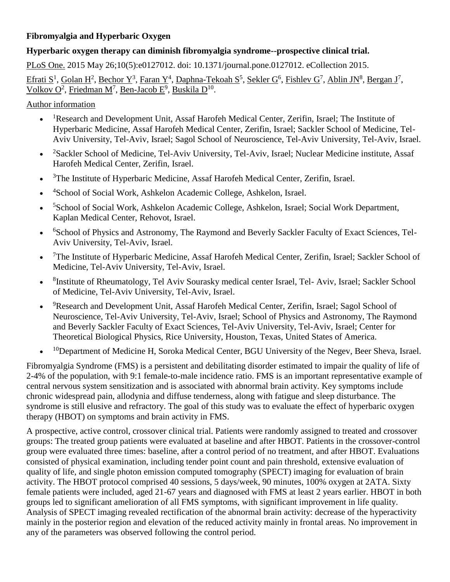# **Fibromyalgia and Hyperbaric Oxygen**

## **Hyperbaric oxygen therapy can diminish fibromyalgia syndrome--prospective clinical trial.**

[PLoS One.](http://www.ncbi.nlm.nih.gov/pubmed/26010952) 2015 May 26;10(5):e0127012. doi: 10.1371/journal.pone.0127012. eCollection 2015.

Efrati  $S^1$ , [Golan H](http://www.ncbi.nlm.nih.gov/pubmed/?term=Golan%20H%5BAuthor%5D&cauthor=true&cauthor_uid=26010952)<sup>2</sup>, [Bechor Y](http://www.ncbi.nlm.nih.gov/pubmed/?term=Bechor%20Y%5BAuthor%5D&cauthor=true&cauthor_uid=26010952)<sup>3</sup>, [Faran Y](http://www.ncbi.nlm.nih.gov/pubmed/?term=Faran%20Y%5BAuthor%5D&cauthor=true&cauthor_uid=26010952)<sup>4</sup>, [Daphna-Tekoah S](http://www.ncbi.nlm.nih.gov/pubmed/?term=Daphna-Tekoah%20S%5BAuthor%5D&cauthor=true&cauthor_uid=26010952)<sup>5</sup>, [Sekler G](http://www.ncbi.nlm.nih.gov/pubmed/?term=Sekler%20G%5BAuthor%5D&cauthor=true&cauthor_uid=26010952)<sup>6</sup>, [Fishlev G](http://www.ncbi.nlm.nih.gov/pubmed/?term=Fishlev%20G%5BAuthor%5D&cauthor=true&cauthor_uid=26010952)<sup>7</sup>, [Ablin JN](http://www.ncbi.nlm.nih.gov/pubmed/?term=Ablin%20JN%5BAuthor%5D&cauthor=true&cauthor_uid=26010952)<sup>8</sup>, [Bergan J](http://www.ncbi.nlm.nih.gov/pubmed/?term=Bergan%20J%5BAuthor%5D&cauthor=true&cauthor_uid=26010952)<sup>7</sup>, Volkov  $O^2$ , [Friedman M](http://www.ncbi.nlm.nih.gov/pubmed/?term=Friedman%20M%5BAuthor%5D&cauthor=true&cauthor_uid=26010952)<sup>7</sup>, [Ben-Jacob E](http://www.ncbi.nlm.nih.gov/pubmed/?term=Ben-Jacob%20E%5BAuthor%5D&cauthor=true&cauthor_uid=26010952)<sup>9</sup>, [Buskila D](http://www.ncbi.nlm.nih.gov/pubmed/?term=Buskila%20D%5BAuthor%5D&cauthor=true&cauthor_uid=26010952)<sup>10</sup>.

[Author information](http://www.ncbi.nlm.nih.gov/pubmed/26010952)

- $\bullet$ <sup>1</sup>Research and Development Unit, Assaf Harofeh Medical Center, Zerifin, Israel; The Institute of Hyperbaric Medicine, Assaf Harofeh Medical Center, Zerifin, Israel; Sackler School of Medicine, Tel-Aviv University, Tel-Aviv, Israel; Sagol School of Neuroscience, Tel-Aviv University, Tel-Aviv, Israel.
- $\bullet$ <sup>2</sup>Sackler School of Medicine, Tel-Aviv University, Tel-Aviv, Israel; Nuclear Medicine institute, Assaf Harofeh Medical Center, Zerifin, Israel.
- $\bullet$ <sup>3</sup>The Institute of Hyperbaric Medicine, Assaf Harofeh Medical Center, Zerifin, Israel.
- $\bullet$ <sup>4</sup>School of Social Work, Ashkelon Academic College, Ashkelon, Israel.
- $\bullet$ <sup>5</sup>School of Social Work, Ashkelon Academic College, Ashkelon, Israel; Social Work Department, Kaplan Medical Center, Rehovot, Israel.
- $\bullet$ <sup>6</sup>School of Physics and Astronomy, The Raymond and Beverly Sackler Faculty of Exact Sciences, Tel-Aviv University, Tel-Aviv, Israel.
- $\bullet$ <sup>7</sup>The Institute of Hyperbaric Medicine, Assaf Harofeh Medical Center, Zerifin, Israel; Sackler School of Medicine, Tel-Aviv University, Tel-Aviv, Israel.
- $\bullet$ <sup>8</sup>Institute of Rheumatology, Tel Aviv Sourasky medical center Israel, Tel-Aviv, Israel; Sackler School of Medicine, Tel-Aviv University, Tel-Aviv, Israel.
- $\bullet$ <sup>9</sup>Research and Development Unit, Assaf Harofeh Medical Center, Zerifin, Israel; Sagol School of Neuroscience, Tel-Aviv University, Tel-Aviv, Israel; School of Physics and Astronomy, The Raymond and Beverly Sackler Faculty of Exact Sciences, Tel-Aviv University, Tel-Aviv, Israel; Center for Theoretical Biological Physics, Rice University, Houston, Texas, United States of America.
- $\bullet$ <sup>10</sup>Department of Medicine H, Soroka Medical Center, BGU University of the Negev, Beer Sheva, Israel.

Fibromyalgia Syndrome (FMS) is a persistent and debilitating disorder estimated to impair the quality of life of 2-4% of the population, with 9:1 female-to-male incidence ratio. FMS is an important representative example of central nervous system sensitization and is associated with abnormal brain activity. Key symptoms include chronic widespread pain, allodynia and diffuse tenderness, along with fatigue and sleep disturbance. The syndrome is still elusive and refractory. The goal of this study was to evaluate the effect of hyperbaric oxygen therapy (HBOT) on symptoms and brain activity in FMS.

A prospective, active control, crossover clinical trial. Patients were randomly assigned to treated and crossover groups: The treated group patients were evaluated at baseline and after HBOT. Patients in the crossover-control group were evaluated three times: baseline, after a control period of no treatment, and after HBOT. Evaluations consisted of physical examination, including tender point count and pain threshold, extensive evaluation of quality of life, and single photon emission computed tomography (SPECT) imaging for evaluation of brain activity. The HBOT protocol comprised 40 sessions, 5 days/week, 90 minutes, 100% oxygen at 2ATA. Sixty female patients were included, aged 21-67 years and diagnosed with FMS at least 2 years earlier. HBOT in both groups led to significant amelioration of all FMS symptoms, with significant improvement in life quality. Analysis of SPECT imaging revealed rectification of the abnormal brain activity: decrease of the hyperactivity mainly in the posterior region and elevation of the reduced activity mainly in frontal areas. No improvement in any of the parameters was observed following the control period.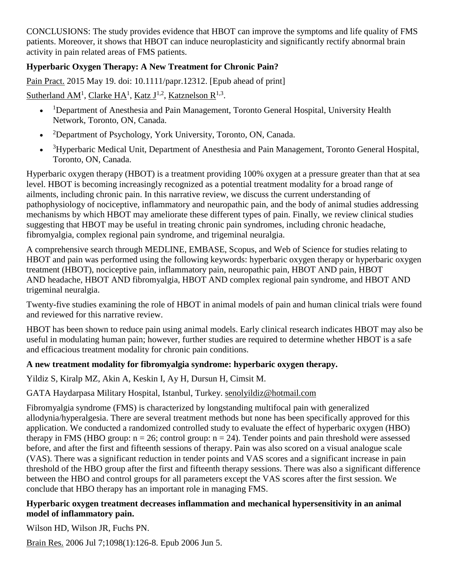CONCLUSIONS: The study provides evidence that HBOT can improve the symptoms and life quality of FMS patients. Moreover, it shows that HBOT can induce neuroplasticity and significantly rectify abnormal brain activity in pain related areas of FMS patients.

# **Hyperbaric Oxygen Therapy: A New Treatment for Chronic Pain?**

[Pain Pract.](http://www.ncbi.nlm.nih.gov/pubmed/25988526) 2015 May 19. doi: 10.1111/papr.12312. [Epub ahead of print]

# [Sutherland AM](http://www.ncbi.nlm.nih.gov/pubmed/?term=Sutherland%20AM%5BAuthor%5D&cauthor=true&cauthor_uid=25988526)<sup>1</sup>, [Clarke HA](http://www.ncbi.nlm.nih.gov/pubmed/?term=Clarke%20HA%5BAuthor%5D&cauthor=true&cauthor_uid=25988526)<sup>1</sup>, [Katz J](http://www.ncbi.nlm.nih.gov/pubmed/?term=Katz%20J%5BAuthor%5D&cauthor=true&cauthor_uid=25988526)<sup>1,2</sup>, [Katznelson R](http://www.ncbi.nlm.nih.gov/pubmed/?term=Katznelson%20R%5BAuthor%5D&cauthor=true&cauthor_uid=25988526)<sup>1,3</sup>.

- $\bullet$ <sup>1</sup>Department of Anesthesia and Pain Management, Toronto General Hospital, University Health Network, Toronto, ON, Canada.
- $\bullet$ <sup>2</sup>Department of Psychology, York University, Toronto, ON, Canada.
- $\bullet$ <sup>3</sup>Hyperbaric Medical Unit, Department of Anesthesia and Pain Management, Toronto General Hospital, Toronto, ON, Canada.

Hyperbaric oxygen therapy (HBOT) is a treatment providing 100% oxygen at a pressure greater than that at sea level. HBOT is becoming increasingly recognized as a potential treatment modality for a broad range of ailments, including chronic pain. In this narrative review, we discuss the current understanding of pathophysiology of nociceptive, inflammatory and neuropathic pain, and the body of animal studies addressing mechanisms by which HBOT may ameliorate these different types of pain. Finally, we review clinical studies suggesting that HBOT may be useful in treating chronic pain syndromes, including chronic headache, fibromyalgia, complex regional pain syndrome, and trigeminal neuralgia.

A comprehensive search through MEDLINE, EMBASE, Scopus, and Web of Science for studies relating to HBOT and pain was performed using the following keywords: hyperbaric oxygen therapy or hyperbaric oxygen treatment (HBOT), nociceptive pain, inflammatory pain, neuropathic pain, HBOT AND pain, HBOT AND headache, HBOT AND fibromyalgia, HBOT AND complex regional pain syndrome, and HBOT AND trigeminal neuralgia.

Twenty-five studies examining the role of HBOT in animal models of pain and human clinical trials were found and reviewed for this narrative review.

HBOT has been shown to reduce pain using animal models. Early clinical research indicates HBOT may also be useful in modulating human pain; however, further studies are required to determine whether HBOT is a safe and efficacious treatment modality for chronic pain conditions.

## **A new treatment modality for fibromyalgia syndrome: hyperbaric oxygen therapy.**

Yildiz S, Kiralp MZ, Akin A, Keskin I, Ay H, Dursun H, Cimsit M.

## GATA Haydarpasa Military Hospital, Istanbul, Turkey. [senolyildiz@hotmail.com](mailto:senolyildiz@hotmail.com)

Fibromyalgia syndrome (FMS) is characterized by longstanding multifocal pain with generalized allodynia/hyperalgesia. There are several treatment methods but none has been specifically approved for this application. We conducted a randomized controlled study to evaluate the effect of hyperbaric oxygen (HBO) therapy in FMS (HBO group:  $n = 26$ ; control group:  $n = 24$ ). Tender points and pain threshold were assessed before, and after the first and fifteenth sessions of therapy. Pain was also scored on a visual analogue scale (VAS). There was a significant reduction in tender points and VAS scores and a significant increase in pain threshold of the HBO group after the first and fifteenth therapy sessions. There was also a significant difference between the HBO and control groups for all parameters except the VAS scores after the first session. We conclude that HBO therapy has an important role in managing FMS.

#### **Hyperbaric oxygen treatment decreases inflammation and mechanical hypersensitivity in an animal model of inflammatory pain.**

[Wilson HD,](http://www.ncbi.nlm.nih.gov/entrez/query.fcgi?db=pubmed&cmd=Search&itool=pubmed_AbstractPlus&term=%22Wilson+HD%22%5BAuthor%5D) [Wilson JR,](http://www.ncbi.nlm.nih.gov/entrez/query.fcgi?db=pubmed&cmd=Search&itool=pubmed_AbstractPlus&term=%22Wilson+JR%22%5BAuthor%5D) [Fuchs PN.](http://www.ncbi.nlm.nih.gov/entrez/query.fcgi?db=pubmed&cmd=Search&itool=pubmed_AbstractPlus&term=%22Fuchs+PN%22%5BAuthor%5D)

[Brain Res.](javascript:AL_get(this,%20) 2006 Jul 7;1098(1):126-8. Epub 2006 Jun 5.